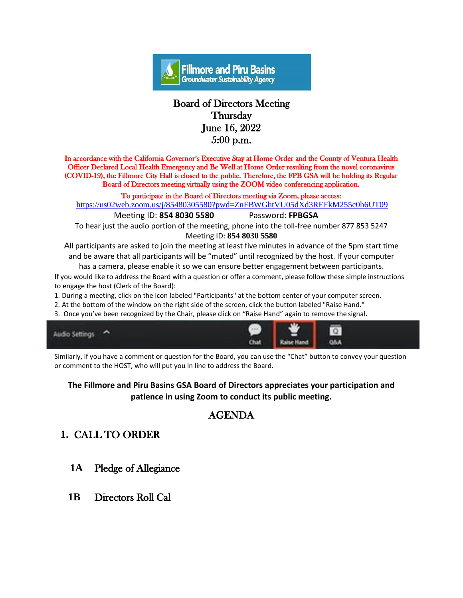

### Board of Directors Meeting **Thursday** June 16, 2022 5:00 p.m.

In accordance with the California Governor's Executive Stay at Home Order and the County of Ventura Health Officer Declared Local Health Emergency and Be Well at Home Order resulting from the novel coronavirus (COVID-19), the Fillmore City Hall is closed to the public. Therefore, the FPB GSA will be holding its Regular Board of Directors meeting virtually using the ZOOM video conferencing application.

To participate in the Board of Directors meeting via Zoom, please access:

<https://us02web.zoom.us/j/85480305580?pwd=ZnFBWGhtVU05dXd3REFkM255c0h6UT09>

 Meeting ID: **854 8030 5580** Password: **FPBGSA** To hear just the audio portion of the meeting, phone into the toll-free number 877 853 5247 Meeting ID: **854 8030 5580**

All participants are asked to join the meeting at least five minutes in advance of the 5pm start time and be aware that all participants will be "muted" until recognized by the host. If your computer has a camera, please enable it so we can ensure better engagement between participants.

If you would like to address the Board with a question or offer a comment, please follow these simple instructions to engage the host (Clerk of the Board):

1. During a meeting, click on the icon labeled "Participants" at the bottom center of your computer screen.

2. At the bottom of the window on the right side of the screen, click the button labeled "Raise Hand."

3. Once you've been recognized by the Chair, please click on "Raise Hand" again to remove the signal.



Similarly, if you have a comment or question for the Board, you can use the "Chat" button to convey your question or comment to the HOST, who will put you in line to address the Board.

#### **The Fillmore and Piru Basins GSA Board of Directors appreciates your participation and patience in using Zoom to conduct its public meeting.**

# AGENDA

# **1.** CALL TO ORDER

- **1A** Pledge of Allegiance
- **1B** Directors Roll Cal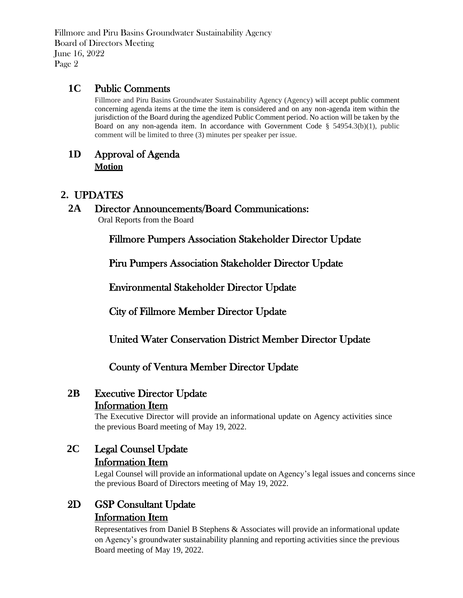#### **1C** Public Comments

Fillmore and Piru Basins Groundwater Sustainability Agency (Agency) will accept public comment concerning agenda items at the time the item is considered and on any non-agenda item within the jurisdiction of the Board during the agendized Public Comment period. No action will be taken by the Board on any non-agenda item. In accordance with Government Code §  $54954.3(b)(1)$ , public comment will be limited to three (3) minutes per speaker per issue.

#### **1D** Approval of Agenda **Motion**

#### **2.** UPDATES

#### **2A** Director Announcements/Board Communications:

Oral Reports from the Board

Fillmore Pumpers Association Stakeholder Director Update

Piru Pumpers Association Stakeholder Director Update

Environmental Stakeholder Director Update

City of Fillmore Member Director Update

United Water Conservation District Member Director Update

### County of Ventura Member Director Update

#### **2B** Executive Director Update Information Item

The Executive Director will provide an informational update on Agency activities since the previous Board meeting of May 19, 2022.

### **2C** Legal Counsel Update Information Item

Legal Counsel will provide an informational update on Agency's legal issues and concerns since the previous Board of Directors meeting of May 19, 2022.

## 2D GSP Consultant Update Information Item

Representatives from Daniel B Stephens & Associates will provide an informational update on Agency's groundwater sustainability planning and reporting activities since the previous Board meeting of May 19, 2022.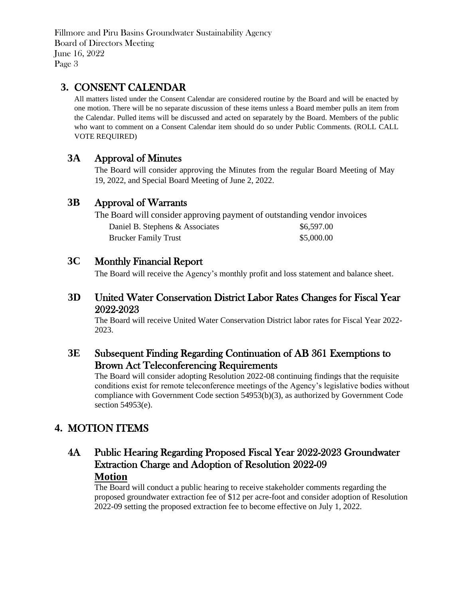### **3.** CONSENT CALENDAR

All matters listed under the Consent Calendar are considered routine by the Board and will be enacted by one motion. There will be no separate discussion of these items unless a Board member pulls an item from the Calendar. Pulled items will be discussed and acted on separately by the Board. Members of the public who want to comment on a Consent Calendar item should do so under Public Comments. (ROLL CALL VOTE REQUIRED)

### **3A** Approval of Minutes

The Board will consider approving the Minutes from the regular Board Meeting of May 19, 2022, and Special Board Meeting of June 2, 2022.

### **3B** Approval of Warrants

The Board will consider approving payment of outstanding vendor invoices Daniel B. Stephens & Associates  $$6,597.00$ Brucker Family Trust \$5,000.00

#### **3C** Monthly Financial Report

The Board will receive the Agency's monthly profit and loss statement and balance sheet.

#### **3D** United Water Conservation District Labor Rates Changes for Fiscal Year 2022-2023

The Board will receive United Water Conservation District labor rates for Fiscal Year 2022- 2023.

### **3E** Subsequent Finding Regarding Continuation of AB 361 Exemptions to Brown Act Teleconferencing Requirements

 The Board will consider adopting Resolution 2022-08 continuing findings that the requisite conditions exist for remote teleconference meetings of the Agency's legislative bodies without compliance with Government Code section 54953(b)(3), as authorized by Government Code section 54953(e).

### **4.** MOTION ITEMS

## 4A Public Hearing Regarding Proposed Fiscal Year 2022-2023 Groundwater Extraction Charge and Adoption of Resolution 2022-09 **Motion**

 The Board will conduct a public hearing to receive stakeholder comments regarding the proposed groundwater extraction fee of \$12 per acre-foot and consider adoption of Resolution 2022-09 setting the proposed extraction fee to become effective on July 1, 2022.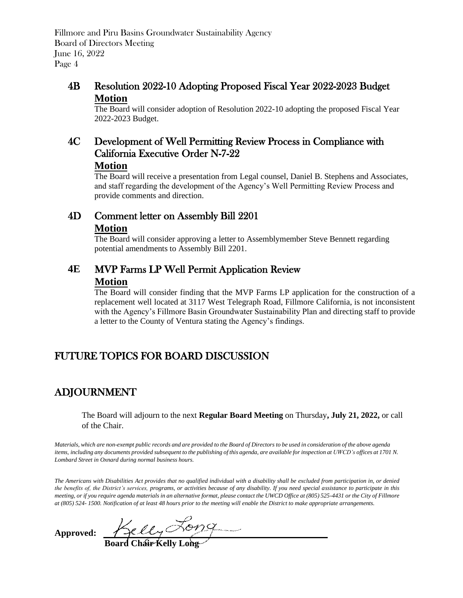### 4B Resolution 2022-10 Adopting Proposed Fiscal Year 2022-2023 Budget **Motion**

 The Board will consider adoption of Resolution 2022-10 adopting the proposed Fiscal Year 2022-2023 Budget.

#### 4C Development of Well Permitting Review Process in Compliance with California Executive Order N-7-22 **Motion**

 The Board will receive a presentation from Legal counsel, Daniel B. Stephens and Associates, and staff regarding the development of the Agency's Well Permitting Review Process and provide comments and direction.

## 4D Comment letter on Assembly Bill 2201 **Motion**

 The Board will consider approving a letter to Assemblymember Steve Bennett regarding potential amendments to Assembly Bill 2201.

### **4E** MVP Farms LP Well Permit Application Review **Motion**

 The Board will consider finding that the MVP Farms LP application for the construction of a replacement well located at 3117 West Telegraph Road, Fillmore California, is not inconsistent with the Agency's Fillmore Basin Groundwater Sustainability Plan and directing staff to provide a letter to the County of Ventura stating the Agency's findings.

# FUTURE TOPICS FOR BOARD DISCUSSION

# ADJOURNMENT

The Board will adjourn to the next **Regular Board Meeting** on Thursday**, July 21, 2022,** or call of the Chair.

Materials, which are non-exempt public records and are provided to the Board of Directors to be used in consideration of the above agenda items, including any documents provided subsequent to the publishing of this agenda, are available for inspection at UWCD's offices at 1701 N. *Lombard Street in Oxnard during normal business hours.*

*The Americans with Disabilities Act provides that no qualified individual with a disability shall be excluded from participation in, or denied the benefits of, the District's services, programs, or activities because of any disability. If you need special assistance to participate in this meeting, or if you require agenda materials in an alternative format, please contact the UWCD Office at (805) 525-4431 or the City of Fillmore at (805) 524- 1500. Notification of at least 48 hours prior to the meeting will enable the District to make appropriate arrangements.* 

**Approved:** 

 **Board Chair Kelly Long**